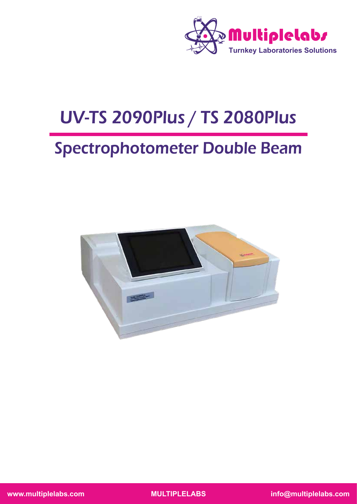

# UV-TS 2090Plus / TS 2080Plus

## Spectrophotometer Double Beam

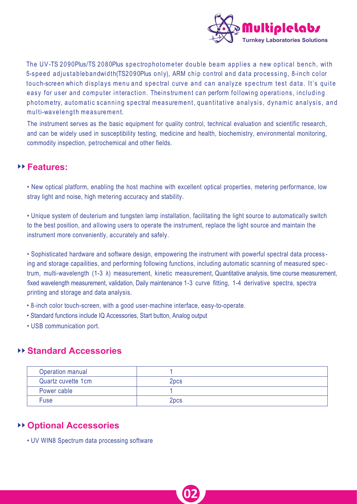

The UV-TS 2090Plus/TS 2080Plus spectrophotometer double beam applies a new optical bench, with 5-speed adjustablebandwidth(TS2090Plus only), ARM chip control and data processing, 8-inch color touch-screen which displays menu and spectral curve and can analyze spectrum test data. It's quite easy for user and computer interaction. Theinstrument can perform following operations, including photometry, automatic scanning spectral measurement, quantitative analysis, dynamic analysis, and multi-wavelength measurement.

The instrument serves as the basic equipment for quality control, technical evaluation and scientific research, and can be widely used in susceptibility testing, medicine and health, biochemistry, environmental monitoring, commodity inspection, petrochemical and other fields.

#### ►► **Features:**

• New optical platform, enabling the host machine with excellent optical properties, metering performance, low stray light and noise, high metering accuracy and stability.

• Unique system of deuterium and tungsten lamp installation, facilitating the light source to automatically switch to the best position, and allowing users to operate the instrument, replace the light source and maintain the instrument more conveniently, accurately and safely.

• Sophisticated hardware and software design, empowering the instrument with powerful spectral data process ing and storage capailities, and performing following functions, including automatic scanning of measured spec t rum, multi-wavelength (1-3 λ) measurement, kinetic measurement, Quantitative analysis, time course measurement, fixed wavelength measurement, validation, Daily maintenance 1-3 curve fitting, 1-4 derivative spectra, spectra printing and storage and data analysis.

- 8-inch color touch-screen, with a good user-machine interface, easy-to-operate.
- Standard functions include IQ Accessories, Start button, Analog output
- USB communication port.

#### ►► **Standard Accessories**

| Operation manual   |                  |  |
|--------------------|------------------|--|
| Quartz cuvette 1cm | 2pcs             |  |
| Power cable        |                  |  |
| <b>Fuse</b>        | 2 <sub>pcs</sub> |  |

**02**

#### ►► **Optional Accessories**

• UV WIN8 Spectrum data processing software